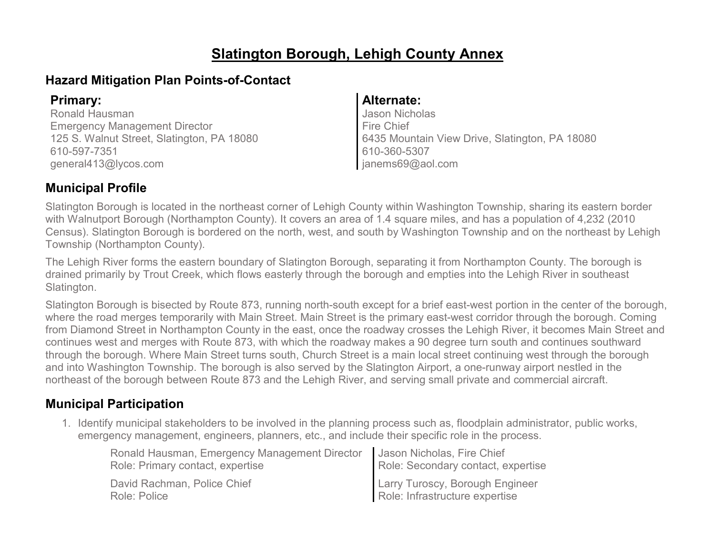# **Slatington Borough, Lehigh County Annex**

# **Hazard Mitigation Plan Points-of-Contact**

Ronald Hausman Emergency Management Director 125 S. Walnut Street, Slatington, PA 18080 610-597-7351 general413@lycos.com

### **Primary: Alternate:**

Jason Nicholas Fire Chief 6435 Mountain View Drive, Slatington, PA 18080 610-360-5307 janems69@aol.com

# **Municipal Profile**

Slatington Borough is located in the northeast corner of Lehigh County within Washington Township, sharing its eastern border with Walnutport Borough (Northampton County). It covers an area of 1.4 square miles, and has a population of 4,232 (2010 Census). Slatington Borough is bordered on the north, west, and south by Washington Township and on the northeast by Lehigh Township (Northampton County).

The Lehigh River forms the eastern boundary of Slatington Borough, separating it from Northampton County. The borough is drained primarily by Trout Creek, which flows easterly through the borough and empties into the Lehigh River in southeast Slatington.

Slatington Borough is bisected by Route 873, running north-south except for a brief east-west portion in the center of the borough, where the road merges temporarily with Main Street. Main Street is the primary east-west corridor through the borough. Coming from Diamond Street in Northampton County in the east, once the roadway crosses the Lehigh River, it becomes Main Street and continues west and merges with Route 873, with which the roadway makes a 90 degree turn south and continues southward through the borough. Where Main Street turns south, Church Street is a main local street continuing west through the borough and into Washington Township. The borough is also served by the Slatington Airport, a one-runway airport nestled in the northeast of the borough between Route 873 and the Lehigh River, and serving small private and commercial aircraft.

# **Municipal Participation**

1. Identify municipal stakeholders to be involved in the planning process such as, floodplain administrator, public works, emergency management, engineers, planners, etc., and include their specific role in the process.

| Ronald Hausman, Emergency Management Director | Jason Nicholas, Fire Chief         |
|-----------------------------------------------|------------------------------------|
| Role: Primary contact, expertise              | Role: Secondary contact, expertise |
| David Rachman, Police Chief                   | Larry Turoscy, Borough Engineer    |
| Role: Police                                  | Role: Infrastructure expertise     |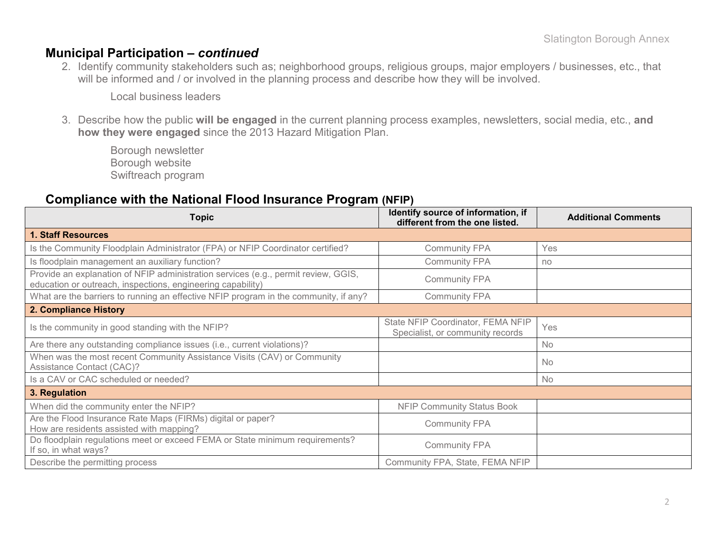### **Municipal Participation –** *continued*

2. Identify community stakeholders such as; neighborhood groups, religious groups, major employers / businesses, etc., that will be informed and / or involved in the planning process and describe how they will be involved.

Local business leaders

3. Describe how the public **will be engaged** in the current planning process examples, newsletters, social media, etc., **and how they were engaged** since the 2013 Hazard Mitigation Plan.

Borough newsletter Borough website Swiftreach program

### **Compliance with the National Flood Insurance Program (NFIP)**

| <b>Topic</b>                                                                                                                                      | Identify source of information, if<br>different from the one listed.  | <b>Additional Comments</b> |
|---------------------------------------------------------------------------------------------------------------------------------------------------|-----------------------------------------------------------------------|----------------------------|
| 1. Staff Resources                                                                                                                                |                                                                       |                            |
| Is the Community Floodplain Administrator (FPA) or NFIP Coordinator certified?                                                                    | <b>Community FPA</b>                                                  | Yes                        |
| Is floodplain management an auxiliary function?                                                                                                   | <b>Community FPA</b>                                                  | no                         |
| Provide an explanation of NFIP administration services (e.g., permit review, GGIS,<br>education or outreach, inspections, engineering capability) | <b>Community FPA</b>                                                  |                            |
| What are the barriers to running an effective NFIP program in the community, if any?                                                              | <b>Community FPA</b>                                                  |                            |
| 2. Compliance History                                                                                                                             |                                                                       |                            |
| Is the community in good standing with the NFIP?                                                                                                  | State NFIP Coordinator, FEMA NFIP<br>Specialist, or community records | Yes                        |
| Are there any outstanding compliance issues (i.e., current violations)?                                                                           |                                                                       | No                         |
| When was the most recent Community Assistance Visits (CAV) or Community<br>Assistance Contact (CAC)?                                              |                                                                       | <b>No</b>                  |
| Is a CAV or CAC scheduled or needed?                                                                                                              |                                                                       | No                         |
| 3. Regulation                                                                                                                                     |                                                                       |                            |
| When did the community enter the NFIP?                                                                                                            | <b>NFIP Community Status Book</b>                                     |                            |
| Are the Flood Insurance Rate Maps (FIRMs) digital or paper?<br>How are residents assisted with mapping?                                           | <b>Community FPA</b>                                                  |                            |
| Do floodplain regulations meet or exceed FEMA or State minimum requirements?<br>If so, in what ways?                                              | <b>Community FPA</b>                                                  |                            |
| Describe the permitting process                                                                                                                   | Community FPA, State, FEMA NFIP                                       |                            |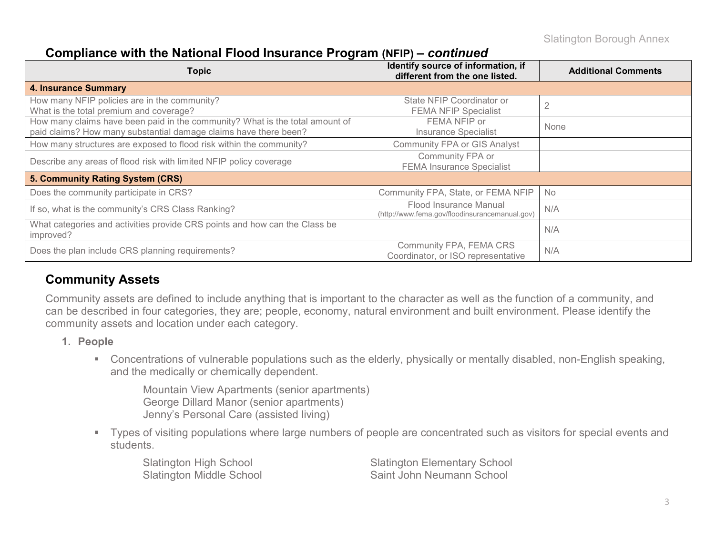### **Compliance with the National Flood Insurance Program (NFIP) –** *continued*

| <b>Topic</b>                                                                                                                                     | Identify source of information, if<br>different from the one listed.     | <b>Additional Comments</b> |
|--------------------------------------------------------------------------------------------------------------------------------------------------|--------------------------------------------------------------------------|----------------------------|
| <b>4. Insurance Summary</b>                                                                                                                      |                                                                          |                            |
| How many NFIP policies are in the community?<br>What is the total premium and coverage?                                                          | State NFIP Coordinator or<br><b>FEMA NFIP Specialist</b>                 | ◠                          |
| How many claims have been paid in the community? What is the total amount of<br>paid claims? How many substantial damage claims have there been? | FEMA NFIP or<br><b>Insurance Specialist</b>                              | None                       |
| How many structures are exposed to flood risk within the community?                                                                              | <b>Community FPA or GIS Analyst</b>                                      |                            |
| Describe any areas of flood risk with limited NFIP policy coverage                                                                               | Community FPA or<br><b>FEMA Insurance Specialist</b>                     |                            |
| 5. Community Rating System (CRS)                                                                                                                 |                                                                          |                            |
| Does the community participate in CRS?                                                                                                           | Community FPA, State, or FEMA NFIP                                       | <b>No</b>                  |
| If so, what is the community's CRS Class Ranking?                                                                                                | Flood Insurance Manual<br>(http://www.fema.gov/floodinsurancemanual.gov) | N/A                        |
| What categories and activities provide CRS points and how can the Class be<br>improved?                                                          |                                                                          | N/A                        |
| Does the plan include CRS planning requirements?                                                                                                 | Community FPA, FEMA CRS<br>Coordinator, or ISO representative            | N/A                        |

# **Community Assets**

Community assets are defined to include anything that is important to the character as well as the function of a community, and can be described in four categories, they are; people, economy, natural environment and built environment. Please identify the community assets and location under each category.

- **1. People**
	- Concentrations of vulnerable populations such as the elderly, physically or mentally disabled, non-English speaking, and the medically or chemically dependent.

Mountain View Apartments (senior apartments) George Dillard Manor (senior apartments) Jenny's Personal Care (assisted living)

 Types of visiting populations where large numbers of people are concentrated such as visitors for special events and students.

Slatington High School Slatington Elementary School Slatington Middle School Saint John Neumann School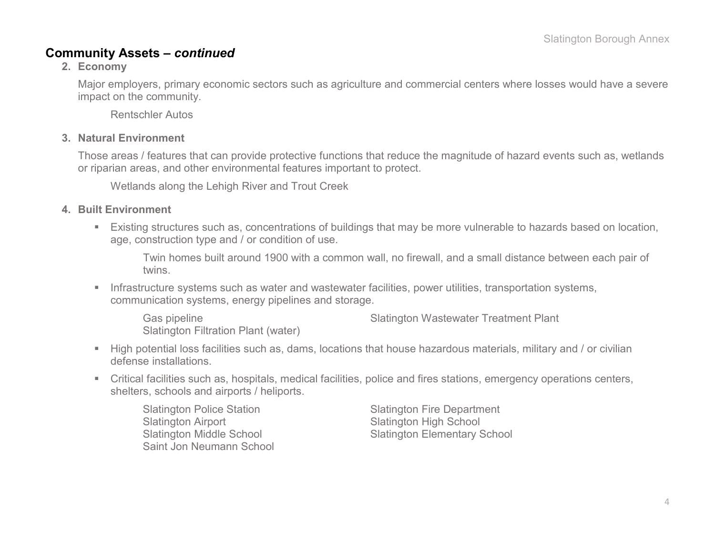### **Community Assets –** *continued*

### **2. Economy**

Major employers, primary economic sectors such as agriculture and commercial centers where losses would have a severe impact on the community.

Rentschler Autos

#### **3. Natural Environment**

Those areas / features that can provide protective functions that reduce the magnitude of hazard events such as, wetlands or riparian areas, and other environmental features important to protect.

Wetlands along the Lehigh River and Trout Creek

### **4. Built Environment**

 Existing structures such as, concentrations of buildings that may be more vulnerable to hazards based on location, age, construction type and / or condition of use.

Twin homes built around 1900 with a common wall, no firewall, and a small distance between each pair of twins.

**Infrastructure systems such as water and wastewater facilities, power utilities, transportation systems,** communication systems, energy pipelines and storage.

Slatington Filtration Plant (water)

Gas pipeline Slatington Wastewater Treatment Plant

- High potential loss facilities such as, dams, locations that house hazardous materials, military and / or civilian defense installations.
- Critical facilities such as, hospitals, medical facilities, police and fires stations, emergency operations centers, shelters, schools and airports / heliports.

Slatington Police Station Slatington Fire Department Slatington Airport Slatington High School Saint Jon Neumann School

Slatington Middle School Slatington Elementary School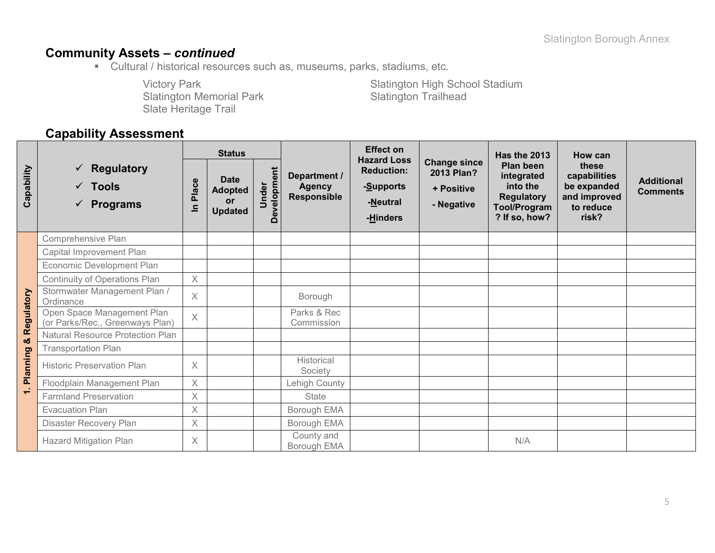# **Community Assets –** *continued*

Cultural / historical resources such as, museums, parks, stadiums, etc.

Slatington Memorial Park Slate Heritage Trail

Victory Park Slatington High School Stadium<br>Slatington Memorial Park Slatington Trailhead

# **Capability Assessment**

|            |                                                                        | <b>Status</b>  |                                                       |                      |                                              | <b>Effect on</b><br><b>Hazard Loss</b>                 |                                                               | <b>Has the 2013</b>                                                                       | <b>How can</b>                                                             |                                      |
|------------|------------------------------------------------------------------------|----------------|-------------------------------------------------------|----------------------|----------------------------------------------|--------------------------------------------------------|---------------------------------------------------------------|-------------------------------------------------------------------------------------------|----------------------------------------------------------------------------|--------------------------------------|
| Capability | $\checkmark$ Regulatory<br>$\checkmark$ Tools<br>$\checkmark$ Programs | Place<br>르     | <b>Date</b><br><b>Adopted</b><br>or<br><b>Updated</b> | Development<br>Under | Department /<br><b>Agency</b><br>Responsible | <b>Reduction:</b><br>-Supports<br>-Neutral<br>-Hinders | <b>Change since</b><br>2013 Plan?<br>+ Positive<br>- Negative | Plan been<br>integrated<br>into the<br><b>Regulatory</b><br>Tool/Program<br>? If so, how? | these<br>capabilities<br>be expanded<br>and improved<br>to reduce<br>risk? | <b>Additional</b><br><b>Comments</b> |
|            | Comprehensive Plan                                                     |                |                                                       |                      |                                              |                                                        |                                                               |                                                                                           |                                                                            |                                      |
|            | Capital Improvement Plan                                               |                |                                                       |                      |                                              |                                                        |                                                               |                                                                                           |                                                                            |                                      |
|            | Economic Development Plan                                              |                |                                                       |                      |                                              |                                                        |                                                               |                                                                                           |                                                                            |                                      |
|            | Continuity of Operations Plan                                          | $\times$       |                                                       |                      |                                              |                                                        |                                                               |                                                                                           |                                                                            |                                      |
|            | Stormwater Management Plan /<br>Ordinance                              | $\times$       |                                                       |                      | Borough                                      |                                                        |                                                               |                                                                                           |                                                                            |                                      |
| Regulatory | Open Space Management Plan<br>(or Parks/Rec., Greenways Plan)          | $\overline{X}$ |                                                       |                      | Parks & Rec<br>Commission                    |                                                        |                                                               |                                                                                           |                                                                            |                                      |
| ಯ          | <b>Natural Resource Protection Plan</b>                                |                |                                                       |                      |                                              |                                                        |                                                               |                                                                                           |                                                                            |                                      |
|            | <b>Transportation Plan</b>                                             |                |                                                       |                      |                                              |                                                        |                                                               |                                                                                           |                                                                            |                                      |
| Planning   | <b>Historic Preservation Plan</b>                                      | $\times$       |                                                       |                      | Historical<br>Society                        |                                                        |                                                               |                                                                                           |                                                                            |                                      |
|            | Floodplain Management Plan                                             | $\times$       |                                                       |                      | Lehigh County                                |                                                        |                                                               |                                                                                           |                                                                            |                                      |
| $\div$     | <b>Farmland Preservation</b>                                           | X              |                                                       |                      | <b>State</b>                                 |                                                        |                                                               |                                                                                           |                                                                            |                                      |
|            | <b>Evacuation Plan</b>                                                 | $\times$       |                                                       |                      | Borough EMA                                  |                                                        |                                                               |                                                                                           |                                                                            |                                      |
|            | Disaster Recovery Plan                                                 | $\times$       |                                                       |                      | Borough EMA                                  |                                                        |                                                               |                                                                                           |                                                                            |                                      |
|            | <b>Hazard Mitigation Plan</b>                                          | $\times$       |                                                       |                      | County and<br>Borough EMA                    |                                                        |                                                               | N/A                                                                                       |                                                                            |                                      |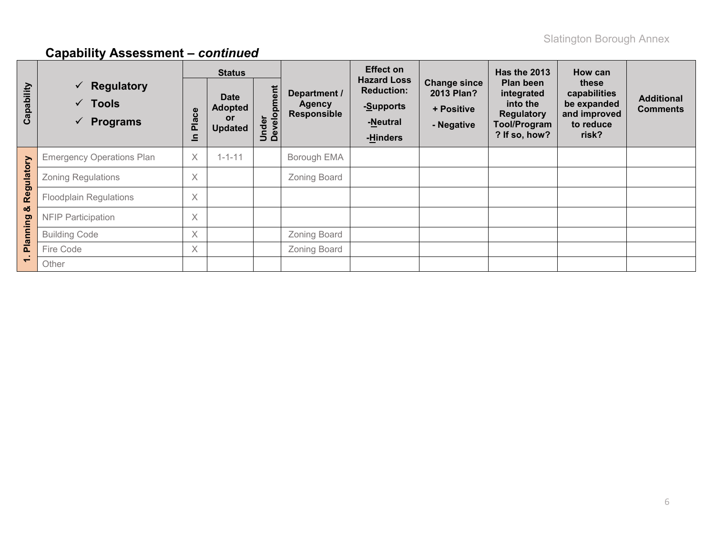|            |                                                                                  | <b>Status</b> |                                                       |                      |                                              | <b>Effect on</b>                                                             |                                                               | <b>Has the 2013</b>                                                                       | How can                                                                    |                                      |
|------------|----------------------------------------------------------------------------------|---------------|-------------------------------------------------------|----------------------|----------------------------------------------|------------------------------------------------------------------------------|---------------------------------------------------------------|-------------------------------------------------------------------------------------------|----------------------------------------------------------------------------|--------------------------------------|
| Capability | $\checkmark$ Regulatory<br>$\checkmark$ Tools<br><b>Programs</b><br>$\checkmark$ | Place<br>르    | <b>Date</b><br><b>Adopted</b><br>or<br><b>Updated</b> | Under<br>Development | Department /<br>Agency<br><b>Responsible</b> | <b>Hazard Loss</b><br><b>Reduction:</b><br>-Supports<br>-Neutral<br>-Hinders | <b>Change since</b><br>2013 Plan?<br>+ Positive<br>- Negative | Plan been<br>integrated<br>into the<br><b>Regulatory</b><br>Tool/Program<br>? If so, how? | these<br>capabilities<br>be expanded<br>and improved<br>to reduce<br>risk? | <b>Additional</b><br><b>Comments</b> |
|            | <b>Emergency Operations Plan</b>                                                 | $\times$      | $1 - 1 - 11$                                          |                      | Borough EMA                                  |                                                                              |                                                               |                                                                                           |                                                                            |                                      |
| Regulatory | <b>Zoning Regulations</b>                                                        | $\times$      |                                                       |                      | Zoning Board                                 |                                                                              |                                                               |                                                                                           |                                                                            |                                      |
|            | <b>Floodplain Regulations</b>                                                    | $\times$      |                                                       |                      |                                              |                                                                              |                                                               |                                                                                           |                                                                            |                                      |
| ఱ          | <b>NFIP Participation</b>                                                        | $\times$      |                                                       |                      |                                              |                                                                              |                                                               |                                                                                           |                                                                            |                                      |
| Planning   | <b>Building Code</b>                                                             | $\times$      |                                                       |                      | Zoning Board                                 |                                                                              |                                                               |                                                                                           |                                                                            |                                      |
|            | Fire Code                                                                        | $\times$      |                                                       |                      | <b>Zoning Board</b>                          |                                                                              |                                                               |                                                                                           |                                                                            |                                      |
|            | Other                                                                            |               |                                                       |                      |                                              |                                                                              |                                                               |                                                                                           |                                                                            |                                      |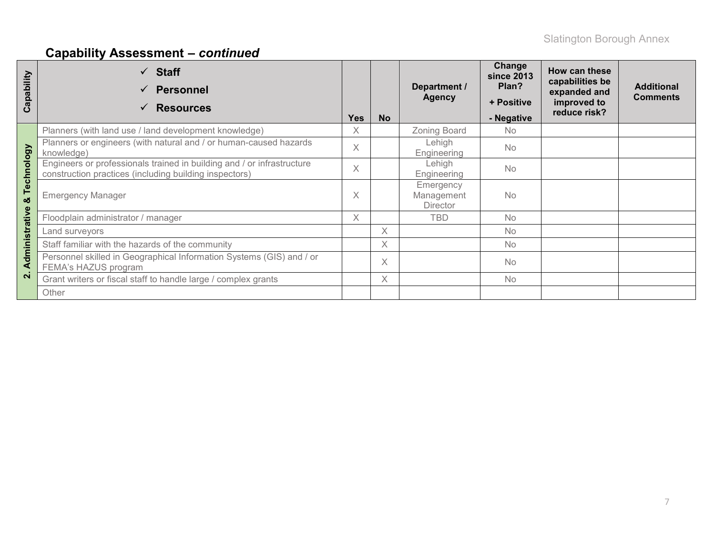| Capability    | $\checkmark$ Staff<br><b>Personnel</b><br><b>Resources</b>                                                                       | <b>Yes</b> | <b>No</b> | Department /<br><b>Agency</b>              | Change<br><b>since 2013</b><br>Plan?<br>+ Positive<br>- Negative | How can these<br>capabilities be<br>expanded and<br>improved to<br>reduce risk? | <b>Additional</b><br><b>Comments</b> |
|---------------|----------------------------------------------------------------------------------------------------------------------------------|------------|-----------|--------------------------------------------|------------------------------------------------------------------|---------------------------------------------------------------------------------|--------------------------------------|
|               | Planners (with land use / land development knowledge)                                                                            | X          |           | Zoning Board                               | No.                                                              |                                                                                 |                                      |
|               | Planners or engineers (with natural and / or human-caused hazards<br>knowledge)                                                  | X          |           | Lehigh<br>Engineering                      | <b>No</b>                                                        |                                                                                 |                                      |
| Technology    | Engineers or professionals trained in building and / or infrastructure<br>construction practices (including building inspectors) | $\times$   |           | Lehigh<br>Engineering                      | <b>No</b>                                                        |                                                                                 |                                      |
| ೲ             | <b>Emergency Manager</b>                                                                                                         | X          |           | Emergency<br>Management<br><b>Director</b> | <b>No</b>                                                        |                                                                                 |                                      |
| dministrative | Floodplain administrator / manager                                                                                               | X          |           | <b>TBD</b>                                 | <b>No</b>                                                        |                                                                                 |                                      |
|               | Land surveyors                                                                                                                   |            | $\times$  |                                            | <b>No</b>                                                        |                                                                                 |                                      |
|               | Staff familiar with the hazards of the community                                                                                 |            | $\times$  |                                            | <b>No</b>                                                        |                                                                                 |                                      |
| ⋖             | Personnel skilled in Geographical Information Systems (GIS) and / or<br>FEMA's HAZUS program                                     |            | $\times$  |                                            | <b>No</b>                                                        |                                                                                 |                                      |
| $\mathbf{a}$  | Grant writers or fiscal staff to handle large / complex grants                                                                   |            | X         |                                            | <b>No</b>                                                        |                                                                                 |                                      |
|               | Other                                                                                                                            |            |           |                                            |                                                                  |                                                                                 |                                      |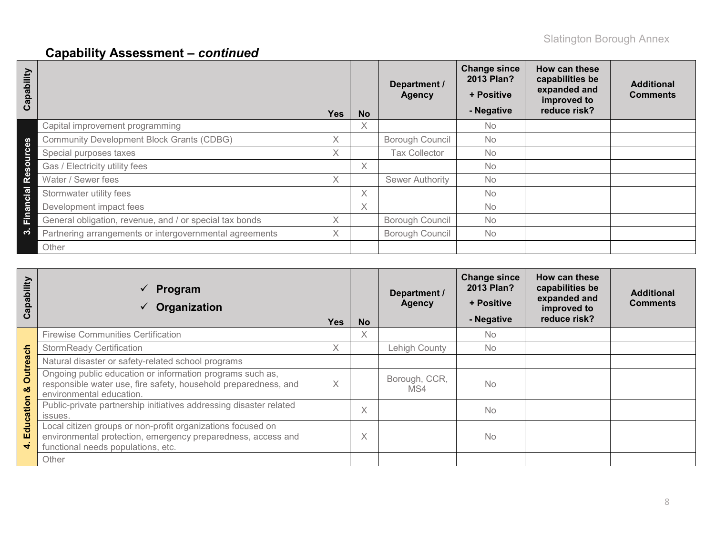| ability<br>Cap             |                                                         | <b>Yes</b> | <b>No</b> | Department /<br><b>Agency</b> | <b>Change since</b><br>2013 Plan?<br>+ Positive<br>- Negative | How can these<br>capabilities be<br>expanded and<br>improved to<br>reduce risk? | <b>Additional</b><br><b>Comments</b> |
|----------------------------|---------------------------------------------------------|------------|-----------|-------------------------------|---------------------------------------------------------------|---------------------------------------------------------------------------------|--------------------------------------|
|                            | Capital improvement programming                         |            | X         |                               | No                                                            |                                                                                 |                                      |
| 89                         | <b>Community Development Block Grants (CDBG)</b>        | X.         |           | Borough Council               | <b>No</b>                                                     |                                                                                 |                                      |
| Ő                          | Special purposes taxes                                  | X          |           | <b>Tax Collector</b>          | <b>No</b>                                                     |                                                                                 |                                      |
| ٥<br>$\boldsymbol{\omega}$ | Gas / Electricity utility fees                          |            | X         |                               | <b>No</b>                                                     |                                                                                 |                                      |
| <b>e</b>                   | Water / Sewer fees                                      | $\times$   |           | <b>Sewer Authority</b>        | <b>No</b>                                                     |                                                                                 |                                      |
| cial                       | Stormwater utility fees                                 |            | Χ         |                               | <b>No</b>                                                     |                                                                                 |                                      |
| Θ<br>$\boldsymbol{\varpi}$ | Development impact fees                                 |            | X         |                               | <b>No</b>                                                     |                                                                                 |                                      |
| Ě                          | General obligation, revenue, and / or special tax bonds | $\times$   |           | Borough Council               | <b>No</b>                                                     |                                                                                 |                                      |
| က                          | Partnering arrangements or intergovernmental agreements | X.         |           | <b>Borough Council</b>        | <b>No</b>                                                     |                                                                                 |                                      |
|                            | Other                                                   |            |           |                               |                                                               |                                                                                 |                                      |

| Capability     | Program<br>$\checkmark$<br>Organization                                                                                                                           | <b>Yes</b> | <b>No</b> | Department /<br><b>Agency</b> | <b>Change since</b><br>2013 Plan?<br>+ Positive<br>- Negative | How can these<br>capabilities be<br>expanded and<br>improved to<br>reduce risk? | <b>Additional</b><br><b>Comments</b> |
|----------------|-------------------------------------------------------------------------------------------------------------------------------------------------------------------|------------|-----------|-------------------------------|---------------------------------------------------------------|---------------------------------------------------------------------------------|--------------------------------------|
|                | <b>Firewise Communities Certification</b>                                                                                                                         |            | X         |                               | <b>No</b>                                                     |                                                                                 |                                      |
|                | <b>StormReady Certification</b>                                                                                                                                   | X          |           | Lehigh County                 | No.                                                           |                                                                                 |                                      |
|                | Natural disaster or safety-related school programs                                                                                                                |            |           |                               |                                                               |                                                                                 |                                      |
| Outreach<br>ಯ  | Ongoing public education or information programs such as,<br>responsible water use, fire safety, household preparedness, and<br>environmental education.          | X          |           | Borough, CCR,<br>MS4          | <b>No</b>                                                     |                                                                                 |                                      |
|                | Public-private partnership initiatives addressing disaster related<br>issues.                                                                                     |            | X         |                               | <b>No</b>                                                     |                                                                                 |                                      |
| Education<br>÷ | Local citizen groups or non-profit organizations focused on<br>environmental protection, emergency preparedness, access and<br>functional needs populations, etc. |            | Χ         |                               | <b>No</b>                                                     |                                                                                 |                                      |
|                | Other                                                                                                                                                             |            |           |                               |                                                               |                                                                                 |                                      |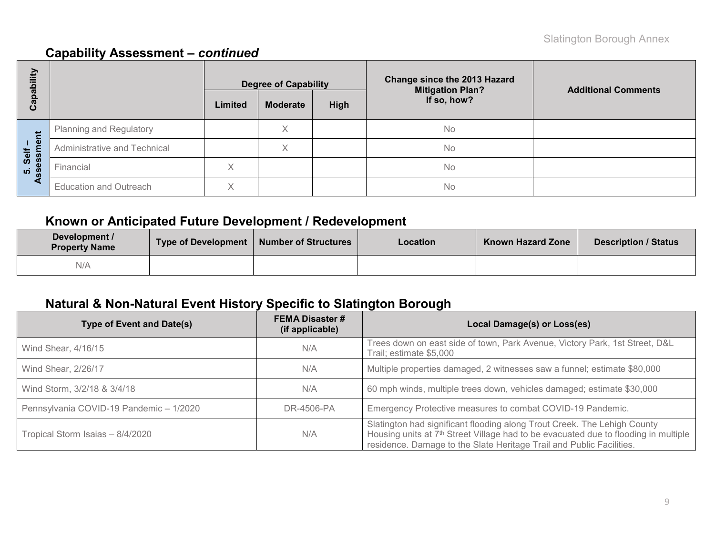| E<br>ھ            |                               |              | <b>Degree of Capability</b> |             | <b>Change since the 2013 Hazard</b><br><b>Mitigation Plan?</b> | <b>Additional Comments</b> |  |
|-------------------|-------------------------------|--------------|-----------------------------|-------------|----------------------------------------------------------------|----------------------------|--|
| <u>թզ</u><br>ပိ   |                               | Limited      | <b>Moderate</b>             | <b>High</b> | If so, how?                                                    |                            |  |
|                   | Planning and Regulatory       |              | Χ                           |             | <b>No</b>                                                      |                            |  |
| Self –<br>essment | Administrative and Technical  |              | $\checkmark$<br>∧           |             | <b>No</b>                                                      |                            |  |
| <u>ທີ່ 8</u>      | Financial                     | ∧            |                             |             | No                                                             |                            |  |
| ◀                 | <b>Education and Outreach</b> | $\checkmark$ |                             |             | <b>No</b>                                                      |                            |  |

# **Known or Anticipated Future Development / Redevelopment**

| Development /<br><b>Property Name</b> | Type of Development | Number of Structures | <b>Location</b> | <b>Known Hazard Zone</b> | <b>Description / Status</b> |
|---------------------------------------|---------------------|----------------------|-----------------|--------------------------|-----------------------------|
| N/A                                   |                     |                      |                 |                          |                             |

# **Natural & Non-Natural Event History Specific to Slatington Borough**

| <b>Type of Event and Date(s)</b>        | <b>FEMA Disaster #</b><br>(if applicable) | Local Damage(s) or Loss(es)                                                                                                                                                                                                                         |
|-----------------------------------------|-------------------------------------------|-----------------------------------------------------------------------------------------------------------------------------------------------------------------------------------------------------------------------------------------------------|
| Wind Shear, 4/16/15                     | N/A                                       | Trees down on east side of town, Park Avenue, Victory Park, 1st Street, D&L<br>Trail; estimate \$5,000                                                                                                                                              |
| Wind Shear, 2/26/17                     | N/A                                       | Multiple properties damaged, 2 witnesses saw a funnel; estimate \$80,000                                                                                                                                                                            |
| Wind Storm, 3/2/18 & 3/4/18             | N/A                                       | 60 mph winds, multiple trees down, vehicles damaged; estimate \$30,000                                                                                                                                                                              |
| Pennsylvania COVID-19 Pandemic - 1/2020 | DR-4506-PA                                | Emergency Protective measures to combat COVID-19 Pandemic.                                                                                                                                                                                          |
| Tropical Storm Isaias - 8/4/2020        | N/A                                       | Slatington had significant flooding along Trout Creek. The Lehigh County<br>Housing units at 7 <sup>th</sup> Street Village had to be evacuated due to flooding in multiple<br>residence. Damage to the Slate Heritage Trail and Public Facilities. |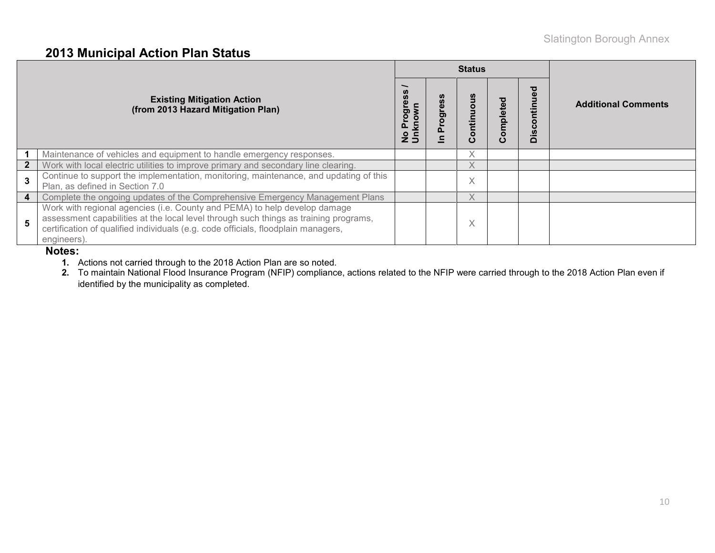### **2013 Municipal Action Plan Status**

|                |                                                                                                                                                                                                                                                                       |                                         |          | <b>Status</b>     |               |                                      |                            |
|----------------|-----------------------------------------------------------------------------------------------------------------------------------------------------------------------------------------------------------------------------------------------------------------------|-----------------------------------------|----------|-------------------|---------------|--------------------------------------|----------------------------|
|                | <b>Existing Mitigation Action</b><br>(from 2013 Hazard Mitigation Plan)                                                                                                                                                                                               | ත<br>0<br>5<br>$\mathbf{r}$<br>o<br>z 5 | ဖိ<br>ဥ၀ | ontinuous<br>ပ    | ompleted<br>ပ | ਠ<br>o<br>ပ<br><u>.ഗ</u><br>$\Omega$ | <b>Additional Comments</b> |
|                | Maintenance of vehicles and equipment to handle emergency responses.                                                                                                                                                                                                  |                                         |          | $\checkmark$<br>⋏ |               |                                      |                            |
| $\overline{2}$ | Work with local electric utilities to improve primary and secondary line clearing.                                                                                                                                                                                    |                                         |          | X.                |               |                                      |                            |
| 3              | Continue to support the implementation, monitoring, maintenance, and updating of this<br>Plan, as defined in Section 7.0                                                                                                                                              |                                         |          | $\checkmark$<br>∧ |               |                                      |                            |
| 4              | Complete the ongoing updates of the Comprehensive Emergency Management Plans                                                                                                                                                                                          |                                         |          | Χ                 |               |                                      |                            |
| 5              | Work with regional agencies (i.e. County and PEMA) to help develop damage<br>assessment capabilities at the local level through such things as training programs,<br>certification of qualified individuals (e.g. code officials, floodplain managers,<br>engineers). |                                         |          | $\checkmark$<br>∧ |               |                                      |                            |

#### **Notes:**

**1.** Actions not carried through to the 2018 Action Plan are so noted.

**2.** To maintain National Flood Insurance Program (NFIP) compliance, actions related to the NFIP were carried through to the 2018 Action Plan even if identified by the municipality as completed.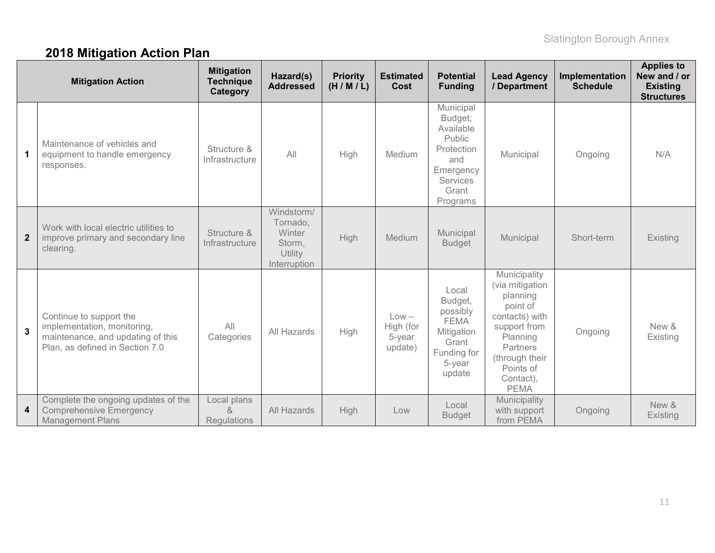# **2018 Mitigation Action Plan**

| <b>Mitigation Action</b> |                                                                                                                                | <b>Mitigation</b><br><b>Technique</b><br>Category | Hazard(s)<br><b>Addressed</b>                                         | <b>Priority</b><br>(H/M/L) | <b>Estimated</b><br>Cost                  | <b>Potential</b><br><b>Funding</b>                                                                                    | <b>Lead Agency</b><br>/ Department                                                                                                                                           | Implementation<br><b>Schedule</b> | <b>Applies to</b><br>New and / or<br><b>Existing</b><br><b>Structures</b> |
|--------------------------|--------------------------------------------------------------------------------------------------------------------------------|---------------------------------------------------|-----------------------------------------------------------------------|----------------------------|-------------------------------------------|-----------------------------------------------------------------------------------------------------------------------|------------------------------------------------------------------------------------------------------------------------------------------------------------------------------|-----------------------------------|---------------------------------------------------------------------------|
| $\mathbf 1$              | Maintenance of vehicles and<br>equipment to handle emergency<br>responses.                                                     | Structure &<br>Infrastructure                     | All                                                                   | High                       | Medium                                    | Municipal<br>Budget;<br>Available<br>Public<br>Protection<br>and<br>Emergency<br><b>Services</b><br>Grant<br>Programs | Municipal                                                                                                                                                                    | Ongoing                           | N/A                                                                       |
| $\overline{2}$           | Work with local electric utilities to<br>improve primary and secondary line<br>clearing.                                       | Structure &<br>Infrastructure                     | Windstorm/<br>Tornado,<br>Winter<br>Storm,<br>Utility<br>Interruption | High                       | Medium                                    | Municipal<br><b>Budget</b>                                                                                            | Municipal                                                                                                                                                                    | Short-term                        | Existing                                                                  |
| $\mathbf{3}$             | Continue to support the<br>implementation, monitoring,<br>maintenance, and updating of this<br>Plan, as defined in Section 7.0 | All<br>Categories                                 | All Hazards                                                           | High                       | $Low -$<br>High (for<br>5-year<br>update) | Local<br>Budget,<br>possibly<br><b>FEMA</b><br>Mitigation<br>Grant<br>Funding for<br>5-year<br>update                 | Municipality<br>(via mitigation<br>planning<br>point of<br>contacts) with<br>support from<br>Planning<br>Partners<br>(through their<br>Points of<br>Contact),<br><b>PEMA</b> | Ongoing                           | New &<br>Existing                                                         |
| 4                        | Complete the ongoing updates of the<br><b>Comprehensive Emergency</b><br><b>Management Plans</b>                               | Local plans<br>&<br><b>Regulations</b>            | All Hazards                                                           | High                       | Low                                       | Local<br><b>Budget</b>                                                                                                | Municipality<br>with support<br>from PEMA                                                                                                                                    | Ongoing                           | New &<br>Existing                                                         |